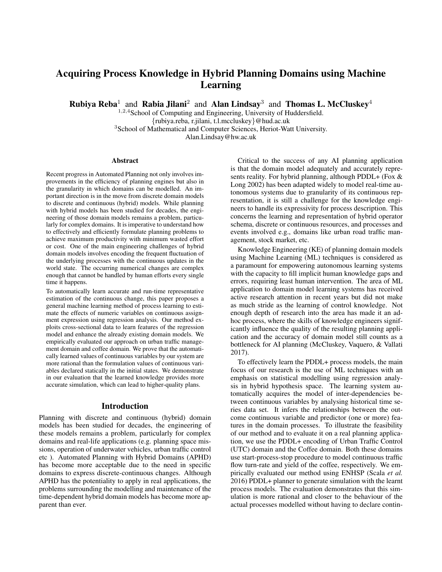# Acquiring Process Knowledge in Hybrid Planning Domains using Machine Learning

**Rubiya Reba**<sup>1</sup> and **Rabia Jilani**<sup>2</sup> and **Alan Lindsay**<sup>3</sup> and **Thomas L. McCluskey**<sup>4</sup>

<sup>1,2,4</sup>School of Computing and Engineering, University of Huddersfield. {rubiya.reba, r.jilani, t.l.mccluskey}@hud.ac.uk <sup>3</sup>School of Mathematical and Computer Sciences, Heriot-Watt University. Alan.Lindsay@hw.ac.uk

#### Abstract

Recent progress in Automated Planning not only involves improvements in the efficiency of planning engines but also in the granularity in which domains can be modelled. An important direction is in the move from discrete domain models to discrete and continuous (hybrid) models. While planning with hybrid models has been studied for decades, the engineering of those domain models remains a problem, particularly for complex domains. It is imperative to understand how to effectively and efficiently formulate planning problems to achieve maximum productivity with minimum wasted effort or cost. One of the main engineering challenges of hybrid domain models involves encoding the frequent fluctuation of the underlying processes with the continuous updates in the world state. The occurring numerical changes are complex enough that cannot be handled by human efforts every single time it happens.

To automatically learn accurate and run-time representative estimation of the continuous change, this paper proposes a general machine learning method of process learning to estimate the effects of numeric variables on continuous assignment expression using regression analysis. Our method exploits cross-sectional data to learn features of the regression model and enhance the already existing domain models. We empirically evaluated our approach on urban traffic management domain and coffee domain. We prove that the automatically learned values of continuous variables by our system are more rational than the formulation values of continuous variables declared statically in the initial states. We demonstrate in our evaluation that the learned knowledge provides more accurate simulation, which can lead to higher-quality plans.

### Introduction

Planning with discrete and continuous (hybrid) domain models has been studied for decades, the engineering of these models remains a problem, particularly for complex domains and real-life applications (e.g. planning space missions, operation of underwater vehicles, urban traffic control etc ). Automated Planning with Hybrid Domains (APHD) has become more acceptable due to the need in specific domains to express discrete-continuous changes. Although APHD has the potentiality to apply in real applications, the problems surrounding the modelling and maintenance of the time-dependent hybrid domain models has become more apparent than ever.

Critical to the success of any AI planning application is that the domain model adequately and accurately represents reality. For hybrid planning, although PDDL+ (Fox & Long 2002) has been adapted widely to model real-time autonomous systems due to granularity of its continuous representation, it is still a challenge for the knowledge engineers to handle its expressivity for process description. This concerns the learning and representation of hybrid operator schema, discrete or continuous resources, and processes and events involved e.g., domains like urban road traffic management, stock market, etc.

Knowledge Engineering (KE) of planning domain models using Machine Learning (ML) techniques is considered as a paramount for empowering autonomous learning systems with the capacity to fill implicit human knowledge gaps and errors, requiring least human intervention. The area of ML application to domain model learning systems has received active research attention in recent years but did not make as much stride as the learning of control knowledge. Not enough depth of research into the area has made it an adhoc process, where the skills of knowledge engineers significantly influence the quality of the resulting planning application and the accuracy of domain model still counts as a bottleneck for AI planning (McCluskey, Vaquero, & Vallati 2017).

To effectively learn the PDDL+ process models, the main focus of our research is the use of ML techniques with an emphasis on statistical modelling using regression analysis in hybrid hypothesis space. The learning system automatically acquires the model of inter-dependencies between continuous variables by analysing historical time series data set. It infers the relationships between the outcome continuous variable and predictor (one or more) features in the domain processes. To illustrate the feasibility of our method and to evaluate it on a real planning application, we use the PDDL+ encoding of Urban Traffic Control (UTC) domain and the Coffee domain. Both these domains use start-process-stop procedure to model continuous traffic flow turn-rate and yield of the coffee, respectively. We empirically evaluated our method using ENHSP (Scala *et al.* 2016) PDDL+ planner to generate simulation with the learnt process models. The evaluation demonstrates that this simulation is more rational and closer to the behaviour of the actual processes modelled without having to declare contin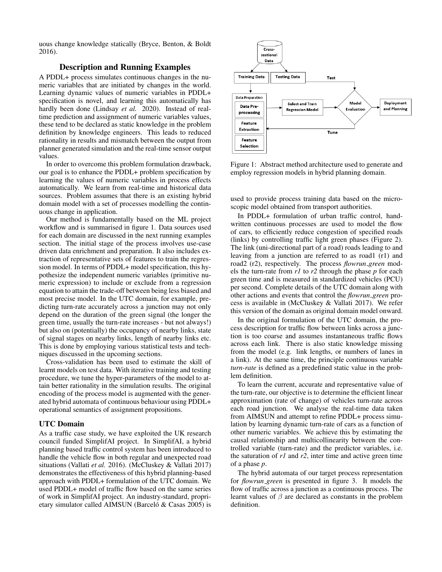uous change knowledge statically (Bryce, Benton, & Boldt 2016).

# Description and Running Examples

A PDDL+ process simulates continuous changes in the numeric variables that are initiated by changes in the world. Learning dynamic values of numeric variables in PDDL+ specification is novel, and learning this automatically has hardly been done (Lindsay *et al.* 2020). Instead of realtime prediction and assignment of numeric variables values, these tend to be declared as static knowledge in the problem definition by knowledge engineers. This leads to reduced rationality in results and mismatch between the output from planner generated simulation and the real-time sensor output values.

In order to overcome this problem formulation drawback, our goal is to enhance the PDDL+ problem specification by learning the values of numeric variables in process effects automatically. We learn from real-time and historical data sources. Problem assumes that there is an existing hybrid domain model with a set of processes modelling the continuous change in application.

Our method is fundamentally based on the ML project workflow and is summarised in figure 1. Data sources used for each domain are discussed in the next running examples section. The initial stage of the process involves use-case driven data enrichment and preparation. It also includes extraction of representative sets of features to train the regression model. In terms of PDDL+ model specification, this hypothesize the independent numeric variables (primitive numeric expression) to include or exclude from a regression equation to attain the trade-off between being less biased and most precise model. In the UTC domain, for example, predicting turn-rate accurately across a junction may not only depend on the duration of the green signal (the longer the green time, usually the turn-rate increases - but not always!) but also on (potentially) the occupancy of nearby links, state of signal stages on nearby links, length of nearby links etc. This is done by employing various statistical tests and techniques discussed in the upcoming sections.

Cross-validation has been used to estimate the skill of learnt models on test data. With iterative training and testing procedure, we tune the hyper-parameters of the model to attain better rationality in the simulation results. The original encoding of the process model is augmented with the generated hybrid automata of continuous behaviour using PDDL+ operational semantics of assignment propositions.

### UTC Domain

As a traffic case study, we have exploited the UK research council funded SimplifAI project. In SimplifAI, a hybrid planning based traffic control system has been introduced to handle the vehicle flow in both regular and unexpected road situations (Vallati *et al.* 2016). (McCluskey & Vallati 2017) demonstrates the effectiveness of this hybrid planning-based approach with PDDL+ formulation of the UTC domain. We used PDDL+ model of traffic flow based on the same series of work in SimplifAI project. An industry-standard, proprietary simulator called AIMSUN (Barceló & Casas 2005) is



Figure 1: Abstract method architecture used to generate and employ regression models in hybrid planning domain.

used to provide process training data based on the microscopic model obtained from transport authorities.

In PDDL+ formulation of urban traffic control, handwritten continuous processes are used to model the flow of cars, to efficiently reduce congestion of specified roads (links) by controlling traffic light green phases (Figure 2). The link (uni-directional part of a road) roads leading to and leaving from a junction are referred to as road1 (r1) and road2 (r2), respectively. The process *flowrun green* models the turn-rate from *r1* to *r2* through the phase *p* for each green time and is measured in standardized vehicles (PCU) per second. Complete details of the UTC domain along with other actions and events that control the *flowrun green* process is available in (McCluskey & Vallati 2017). We refer this version of the domain as original domain model onward.

In the original formulation of the UTC domain, the process description for traffic flow between links across a junction is too coarse and assumes instantaneous traffic flows across each link. There is also static knowledge missing from the model (e.g. link lengths, or numbers of lanes in a link). At the same time, the principle continuous variable *turn-rate* is defined as a predefined static value in the problem definition.

To learn the current, accurate and representative value of the turn-rate, our objective is to determine the efficient linear approximation (rate of change) of vehicles turn-rate across each road junction. We analyse the real-time data taken from AIMSUN and attempt to refine PDDL+ process simulation by learning dynamic turn-rate of cars as a function of other numeric variables. We achieve this by estimating the causal relationship and multicollinearity between the controlled variable (turn-rate) and the predictor variables, i.e. the saturation of *r1* and *r2*, inter time and active green time of a phase *p*.

The hybrid automata of our target process representation for *flowrun green* is presented in figure 3. It models the flow of traffic across a junction as a continuous process. The learnt values of  $\beta$  are declared as constants in the problem definition.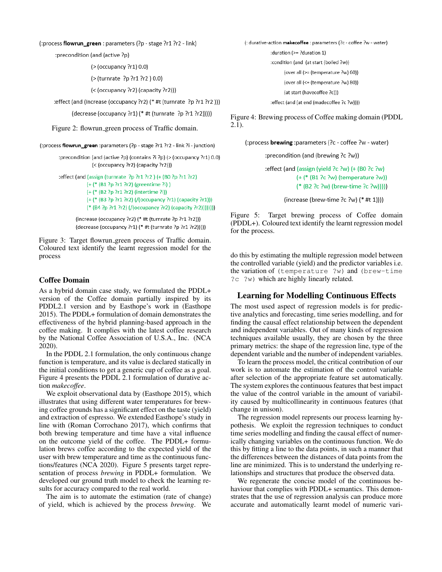### (:process flowrun\_green: parameters (?p - stage ?r1 ?r2 - link)

:precondition (and (active ?p)

```
(> (occupancy ?r1) 0.0)
```
(> (turnrate ?p ?r1 ?r2 ) 0.0)

(< (occupancy ?r2) (capacity ?r2)))

:effect (and (increase (occupancy ?r2) (\* #t (turnrate ?p ?r1 ?r2 )))

(decrease (occupancy ?r1) (\* #t (turnrate ?p ?r1 ?r2)))))

Figure 2: flowrun green process of Traffic domain.

(:process flowrun\_green :parameters (?p - stage ?r1 ?r2 - link ?i - junction)

:precondition (and (active ?p) (contains ?i ?p) (> (occupancy ?r1) 0.0) (< (occupancy ?r2) (capacity ?r2)))

:effect (and (assign (turnrate ?p ?r1 ?r2 ) (+ (B0 ?p ?r1 ?r2)

(+ (\* (B1 ?p ?r1 ?r2) (greentime ?i))

(+ (\* (B2 ?p ?r1 ?r2) (intertime ?i))

(+ (\* (B3 ?p ?r1 ?r2) (/(occupancy ?r1) (capacity ?r1))) (\* (B4 ?p ?r1 ?r2) (/(occupancy ?r2) (capacity ?r2))))))))

(increase (occupancy ?r2) (\* #t (turnrate ?p ?r1 ?r2))) (decrease (occupancy ?r1) (\* #t (turnrate ?p ?r1 ?r2)))))

Figure 3: Target flowrun green process of Traffic domain. Coloured text identify the learnt regression model for the process

### Coffee Domain

As a hybrid domain case study, we formulated the PDDL+ version of the Coffee domain partially inspired by its PDDL2.1 version and by Easthope's work in (Easthope 2015). The PDDL+ formulation of domain demonstrates the effectiveness of the hybrid planning-based approach in the coffee making. It complies with the latest coffee research by the National Coffee Association of U.S.A., Inc. (NCA 2020).

In the PDDL 2.1 formulation, the only continuous change function is temperature, and its value is declared statically in the initial conditions to get a generic cup of coffee as a goal. Figure 4 presents the PDDL 2.1 formulation of durative action *makecoffee*.

We exploit observational data by (Easthope 2015), which illustrates that using different water temperatures for brewing coffee grounds has a significant effect on the taste (yield) and extraction of espresso. We extended Easthope's study in line with (Roman Corrochano 2017), which confirms that both brewing temperature and time have a vital influence on the outcome yield of the coffee. The PDDL+ formulation brews coffee according to the expected yield of the user with brew temperature and time as the continuous functions/features (NCA 2020). Figure 5 presents target representation of process *brewing* in PDDL+ formulation. We developed our ground truth model to check the learning results for accuracy compared to the real world.

The aim is to automate the estimation (rate of change) of yield, which is achieved by the process *brewing*. We (: durative-action makecoffee : parameters (?c - coffee ?w - water) :duration (>= ?duration 1) :condition (and (at start (boiled ?w)) (over all (>= (temperature ?w) 60)) (over all (<= (temperature ?w) 80)) (at start (havecoffee ?c)))

Figure 4: Brewing process of Coffee making domain (PDDL 2.1).

:effect (and (at end (madecoffee ?c ?w))))

(:process brewing :parameters (?c - coffee ?w - water)

:precondition (and (brewing ?c ?w))

:effect (and (assign (yield ?c ?w) (+ (BO ?c ?w)  $(+$  (\* (B1 ?c ?w) (temperature ?w)) (\* (B2 ?c ?w) (brew-time ?c ?w)))))

(increase (brew-time ?c ?w) (\* #t 1))))

Figure 5: Target brewing process of Coffee domain (PDDL+). Coloured text identify the learnt regression model for the process.

do this by estimating the multiple regression model between the controlled variable (yield) and the predictor variables i.e. the variation of (temperature ?w) and (brew-time ?c ?w) which are highly linearly related.

# Learning for Modelling Continuous Effects

The most used aspect of regression models is for predictive analytics and forecasting, time series modelling, and for finding the causal effect relationship between the dependent and independent variables. Out of many kinds of regression techniques available usually, they are chosen by the three primary metrics: the shape of the regression line, type of the dependent variable and the number of independent variables.

To learn the process model, the critical contribution of our work is to automate the estimation of the control variable after selection of the appropriate feature set automatically. The system explores the continuous features that best impact the value of the control variable in the amount of variability caused by multicollinearity in continuous features (that change in unison).

The regression model represents our process learning hypothesis. We exploit the regression techniques to conduct time series modelling and finding the causal effect of numerically changing variables on the continuous function. We do this by fitting a line to the data points, in such a manner that the differences between the distances of data points from the line are minimized. This is to understand the underlying relationships and structures that produce the observed data.

We regenerate the concise model of the continuous behaviour that complies with PDDL+ semantics. This demonstrates that the use of regression analysis can produce more accurate and automatically learnt model of numeric vari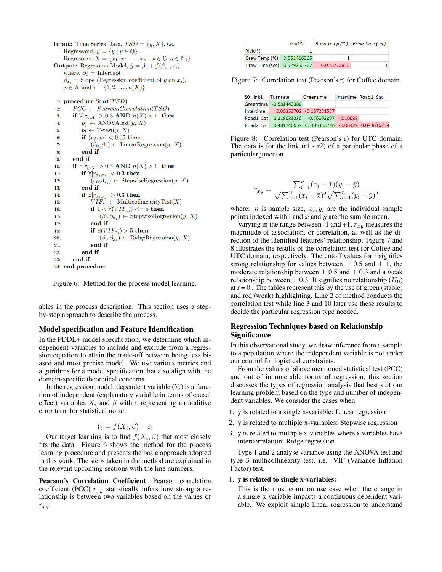**Input:** Time Series Data,  $TSD = \{y, X\}, i.e.$ Regressand,  $y = \{y \mid y \in \mathbb{Q}\}\$ Regressors,  $X = \{x_1, x_2, \ldots, x_n \mid x \in \mathbb{Q}, n \in \mathbb{N}_1\}$ **Output:** Regression Model,  $\hat{y} = \beta_0 + f(\beta_{x_i}, x_i)$ where,  $\beta_0 =$  Intercept,  $\beta_{x_i}$  = Slope (Regression coefficient of y on  $x_i$ ),  $x \in X$  and  $i = \{1, 2, ..., n(X)\}\$ 1: procedure  $Start(TSD)$  $\overline{2}$  $PCC \leftarrow PearsonCorrelation(TSD)$ if  $\forall |r_{y,X}| > 0.3$  AND  $n(X)$  is 1 then  $3:$  $p_f \leftarrow \text{ANOVAtest}(y, X)$  $\overline{4}$  $5:$  $p_t \leftarrow T\text{-test}(y, X)$  $6:$ if  $(p_f, p_t) < 0.05$  then  $(\beta_0, \beta_1) \leftarrow$  Linear Regression $(y, X)$  $7:$ end if  $8<sub>1</sub>$ end if  $9:$ if  $\exists |r_{y,X}| > 0.3$  AND  $n(X) > 1$  then  $10<sub>i</sub>$  $11:$ if  $\forall |r_{x_i,x_j}| < 0.3$  then  $(\beta_0,\beta_{x_i}) \leftarrow$  StepwiseRegression $(y, X)$  $12:$ end if  $13:$ if  $\exists |r_{x_i,x_j}| > 0.3$  then  $14:$  $VIF_{x_i} \leftarrow \text{MulticollinearityTest}(X)$ 15 if  $1 \lt \forall (VIF_{x_i}) \lt = 5$  then  $16:$ 

 $(\beta_0,\beta_{x_i}) \leftarrow$  StepwiseRegression $(y, X)$  $17:$ end if  $18<sub>1</sub>$ if  $\exists (VIF_{x_i}) > 5$  then 19  $20:$  $(\beta_0,\beta_{x_i}) \leftarrow$  RidgeRegression $(y, X)$ end if  $21$ end if  $22:$  $23:$ end if 24: end procedure

Figure 6: Method for the process model learning.

ables in the process description. This section uses a stepby-step approach to describe the process.

### Model specification and Feature Identification

In the PDDL+ model specification, we determine which independent variables to include and exclude from a regression equation to attain the trade-off between being less biased and most precise model. We use various metrics and algorithms for a model specification that also align with the domain-specific theoretical concerns.

In the regression model, dependent variable  $(Y_i)$  is a function of independent (explanatory variable in terms of causal effect) variables  $X_i$  and  $\beta$  with  $\varepsilon$  representing an additive error term for statistical noise:

$$
Y_i = f(X_i, \beta) + \varepsilon_i
$$

Our target learning is to find  $f(X_i, \beta)$  that most closely fits the data. Figure 6 shows the method for the process learning procedure and presents the basic approach adopted in this work. The steps taken in the method are explained in the relevant upcoming sections with the line numbers.

Pearson's Correlation Coefficient Pearson correlation coefficient (PCC)  $r_{xy}$  statistically infers how strong a relationship is between two variables based on the values of  $r_{xy}$ :

|                             | Yield % | Brew Temp (°C) Brew Time (sec) |  |
|-----------------------------|---------|--------------------------------|--|
| Yield %                     |         |                                |  |
| Brew Temp (°C) 0.551416365  |         |                                |  |
| Brew Time (sec) 0.529255767 |         | $-0.036273813$                 |  |

Figure 7: Correlation test (Pearson's r) for Coffee domain.

| SO link1 Turnrate |                                                         | Greentime | Intertime Road1 Sat |
|-------------------|---------------------------------------------------------|-----------|---------------------|
|                   | Greentime -0.531443386                                  |           |                     |
|                   | Intertime 0.00353702 -0.187231537                       |           |                     |
|                   | Road1 Sat 0.318631236 -0.76003397 -0.10083              |           |                     |
|                   | Road2 Sat 0.481740059 -0.405333726 -0.06429 0.093616259 |           |                     |

Figure 8: Correlation test (Pearson's r) for UTC domain. The data is for the link  $(r1 - r2)$  of a particular phase of a particular junction.

$$
r_{xy} = \frac{\sum_{i=1}^{n} (x_i - \bar{x})(y_i - \bar{y})}{\sqrt{\sum_{i=1}^{n} (x_i - \bar{x})^2} \sqrt{\sum_{i=1}^{n} (y_i - \bar{y})^2}}
$$

where: *n* is sample size,  $x_i, y_i$  are the individual sample points indexed with i and  $\bar{x}$  and  $\bar{y}$  are the sample mean.

Varying in the range between -1 and +1,  $r_{xy}$  measures the magnitude of association, or correlation, as well as the direction of the identified features' relationship. Figure 7 and 8 illustrates the results of the correlation test for Coffee and UTC domain, respectively. The cutoff values for r signifies strong relationship for values between  $\pm$  0.5 and  $\pm$  1, the moderate relationship between  $\pm$  0.5 and  $\pm$  0.3 and a weak relationship between  $\pm$  0.3. It signifies no relationship  $(H_0)$ at  $r = 0$ . The tables represent this by the use of green (stable) and red (weak) highlighting. Line 2 of method conducts the correlation test while line 3 and 10 later use these results to decide the particular regression type needed.

# Regression Techniques based on Relationship **Significance**

In this observational study, we draw inference from a sample to a population where the independent variable is not under our control for logistical constraints.

From the values of above mentioned statistical test (PCC) and out of innumerable forms of regression, this section discusses the types of regression analysis that best suit our learning problem based on the type and number of independent variables. We consider the cases when:

- 1. y is related to a single x-variable: Linear regression
- 2. y is related to multiple x-variables: Stepwise regression
- 3. y is related to multiple x-variables where x variables have intercorrelation: Ridge regression

Type 1 and 2 analyse variance using the ANOVA test and type 3 multicollinearity test, i.e. VIF (Variance Inflation Factor) test.

#### 1. y is related to single x-variables:

This is the most common use case when the change in a single x variable impacts a continuous dependent variable. We exploit simple linear regression to understand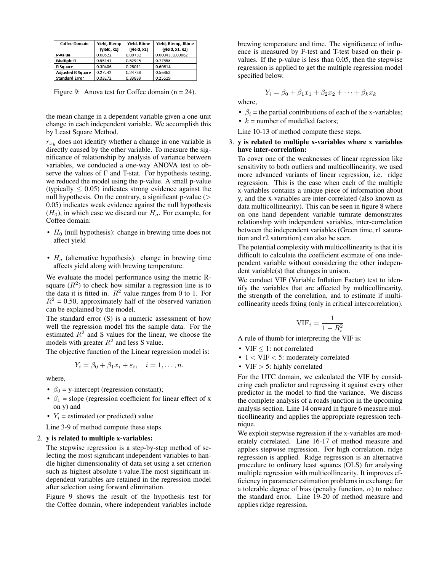| <b>Coffee Domain</b>     | Yield, Btemp | Yield, Btime | Yield, Btemp, Btime |  |
|--------------------------|--------------|--------------|---------------------|--|
|                          | (yield, x1)  | (yield, x1)  | (yield, x1, x2)     |  |
| P-value                  | 0.00522      | 0.00782      | 0.00043, 0.00062    |  |
| <b>Multiple R</b>        | 0.55141      | 0.52925      | 0.77855             |  |
| <b>R</b> Square          | 0.30406      | 0.28011      | 0.60614             |  |
| <b>Adjusted R Square</b> | 0.27242      | 0.24738      | 0.56863             |  |
| <b>Standard Error</b>    | 0.33272      | 0.33839      | 0.25619             |  |

Figure 9: Anova test for Coffee domain  $(n = 24)$ .

the mean change in a dependent variable given a one-unit change in each independent variable. We accomplish this by Least Square Method.

 $r_{xy}$  does not identify whether a change in one variable is directly caused by the other variable. To measure the significance of relationship by analysis of variance between variables, we conducted a one-way ANOVA test to observe the values of F and T-stat. For hypothesis testing, we reduced the model using the p-value. A small p-value (typically  $\leq 0.05$ ) indicates strong evidence against the null hypothesis. On the contrary, a significant p-value  $($ 0.05) indicates weak evidence against the null hypothesis  $(H_0)$ , in which case we discard our  $H_a$ . For example, for Coffee domain:

- $H_0$  (null hypothesis): change in brewing time does not affect yield
- $H_a$  (alternative hypothesis): change in brewing time affects yield along with brewing temperature.

We evaluate the model performance using the metric Rsquare  $(R^2)$  to check how similar a regression line is to the data it is fitted in.  $R^2$  value ranges from 0 to 1. For  $R^2 = 0.50$ , approximately half of the observed variation can be explained by the model.

The standard error (S) is a numeric assessment of how well the regression model fits the sample data. For the estimated  $\overline{R}^2$  and S values for the linear, we choose the models with greater  $R^2$  and less S value.

The objective function of the Linear regression model is:

$$
Y_i = \beta_0 + \beta_1 x_i + \varepsilon_i, \quad i = 1, \dots, n.
$$

where,

- $\beta_0$  = y-intercept (regression constant);
- $\beta_1$  = slope (regression coefficient for linear effect of x on y) and
- $Y_i$  = estimated (or predicted) value
- Line 3-9 of method compute these steps.

#### 2. y is related to multiple x-variables:

The stepwise regression is a step-by-step method of selecting the most significant independent variables to handle higher dimensionality of data set using a set criterion such as highest absolute t-value.The most significant independent variables are retained in the regression model after selection using forward elimination.

Figure 9 shows the result of the hypothesis test for the Coffee domain, where independent variables include

brewing temperature and time. The significance of influence is measured by F-test and T-test based on their pvalues. If the p-value is less than 0.05, then the stepwise regression is applied to get the multiple regression model specified below.

$$
Y_i = \beta_0 + \beta_1 x_1 + \beta_2 x_2 + \dots + \beta_k x_k
$$

where,

- $\beta_i$  = the partial contributions of each of the x-variables;
- $k =$  number of modelled factors;

Line 10-13 of method compute these steps.

### 3. y is related to multiple x-variables where x variables have inter-correlation:

To cover one of the weaknesses of linear regression like sensitivity to both outliers and multicollinearity, we used more advanced variants of linear regression, i.e. ridge regression. This is the case when each of the multiple x-variables contains a unique piece of information about y, and the x-variables are inter-correlated (also known as data multicollinearity). This can be seen in figure 8 where on one hand dependent variable turnrate demonstrates relationship with independent variables, inter-correlation between the independent variables (Green time, r1 saturation and r2 saturation) can also be seen.

The potential complexity with multicollinearity is that it is difficult to calculate the coefficient estimate of one independent variable without considering the other independent variable(s) that changes in unison.

We conduct VIF (Variable Inflation Factor) test to identify the variables that are affected by multicollinearity, the strength of the correlation, and to estimate if multicollinearity needs fixing (only in critical intercorrelation).

$$
\text{VIF}_i = \frac{1}{1 - R_i^2}
$$

A rule of thumb for interpreting the VIF is:

- VIF < 1: not correlated
- 1 < VIF < 5: moderately correlated
- VIF > 5: highly correlated

For the UTC domain, we calculated the VIF by considering each predictor and regressing it against every other predictor in the model to find the variance. We discuss the complete analysis of a roads junction in the upcoming analysis section. Line 14 onward in figure 6 measure multicollinearity and applies the appropriate regression technique.

We exploit stepwise regression if the x-variables are moderately correlated. Line 16-17 of method measure and applies stepwise regression. For high correlation, ridge regression is applied. Ridge regression is an alternative procedure to ordinary least squares (OLS) for analysing multiple regression with multicollinearity. It improves efficiency in parameter estimation problems in exchange for a tolerable degree of bias (penalty function,  $\alpha$ ) to reduce the standard error. Line 19-20 of method measure and applies ridge regression.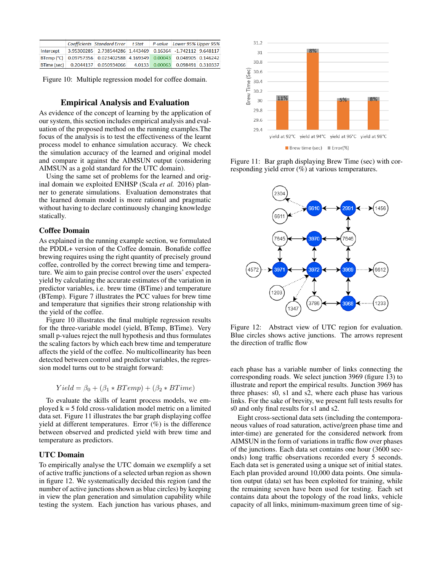|           | Coefficients Standard Error t Stat                                   |  | P-value Lower 95% Upper 95%         |  |
|-----------|----------------------------------------------------------------------|--|-------------------------------------|--|
| Intercept | 3.95300285 2.738544286 1.443469 0.16364 -1.742112 9.648117           |  |                                     |  |
|           | BTemp (°C) 0.09757356 0.023402588 4.169349 0.00043 0.048905 0.146242 |  |                                     |  |
|           | BTime (sec) 0.2044137 0.050934066                                    |  | 4.0133  0.00063  0.098491  0.310337 |  |

Figure 10: Multiple regression model for coffee domain.

### Empirical Analysis and Evaluation

As evidence of the concept of learning by the application of our system, this section includes empirical analysis and evaluation of the proposed method on the running examples.The focus of the analysis is to test the effectiveness of the learnt process model to enhance simulation accuracy. We check the simulation accuracy of the learned and original model and compare it against the AIMSUN output (considering AIMSUN as a gold standard for the UTC domain).

Using the same set of problems for the learned and original domain we exploited ENHSP (Scala *et al.* 2016) planner to generate simulations. Evaluation demonstrates that the learned domain model is more rational and pragmatic without having to declare continuously changing knowledge statically.

### Coffee Domain

As explained in the running example section, we formulated the PDDL+ version of the Coffee domain. Bonafide coffee brewing requires using the right quantity of precisely ground coffee, controlled by the correct brewing time and temperature. We aim to gain precise control over the users' expected yield by calculating the accurate estimates of the variation in predictor variables, i.e. brew time (BTime) and temperature (BTemp). Figure 7 illustrates the PCC values for brew time and temperature that signifies their strong relationship with the yield of the coffee.

Figure 10 illustrates the final multiple regression results for the three-variable model (yield, BTemp, BTime). Very small p-values reject the null hypothesis and thus formulates the scaling factors by which each brew time and temperature affects the yield of the coffee. No multicollinearity has been detected between control and predictor variables, the regression model turns out to be straight forward:

$$
Yield = \beta_0 + (\beta_1 * BTemp) + (\beta_2 * BTime)
$$

To evaluate the skills of learnt process models, we employed  $k = 5$  fold cross-validation model metric on a limited data set. Figure 11 illustrates the bar graph displaying coffee yield at different temperatures. Error (%) is the difference between observed and predicted yield with brew time and temperature as predictors.

# UTC Domain

To empirically analyse the UTC domain we exemplify a set of active traffic junctions of a selected urban region as shown in figure 12. We systematically decided this region (and the number of active junctions shown as blue circles) by keeping in view the plan generation and simulation capability while testing the system. Each junction has various phases, and



Figure 11: Bar graph displaying Brew Time (sec) with corresponding yield error (%) at various temperatures.



Figure 12: Abstract view of UTC region for evaluation. Blue circles shows active junctions. The arrows represent the direction of traffic flow

each phase has a variable number of links connecting the corresponding roads. We select junction 3969 (figure 13) to illustrate and report the empirical results. Junction 3969 has three phases: s0, s1 and s2, where each phase has various links. For the sake of brevity, we present full tests results for s0 and only final results for s1 and s2.

Eight cross-sectional data sets (including the contemporaneous values of road saturation, active/green phase time and inter-time) are generated for the considered network from AIMSUN in the form of variations in traffic flow over phases of the junctions. Each data set contains one hour (3600 seconds) long traffic observations recorded every 5 seconds. Each data set is generated using a unique set of initial states. Each plan provided around 10,000 data points. One simulation output (data) set has been exploited for training, while the remaining seven have been used for testing. Each set contains data about the topology of the road links, vehicle capacity of all links, minimum-maximum green time of sig-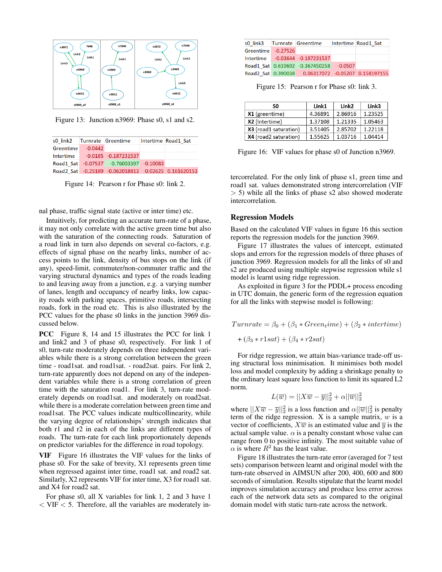

Figure 13: Junction n3969: Phase s0, s1 and s2.

| s0 link2 Turnrate Greentime |                                                      | Intertime Road1 Sat |
|-----------------------------|------------------------------------------------------|---------------------|
| $Greentime$ $-0.0442$       |                                                      |                     |
|                             | Intertime -0.0185 -0.187231537                       |                     |
|                             | Road1 Sat -0.07537 -0.76003397 -0.10083              |                     |
|                             | Road2 Sat -0.25189 -0.062018813 -0.02625 0.161620153 |                     |

Figure 14: Pearson r for Phase s0: link 2.

nal phase, traffic signal state (active or inter time) etc.

Intuitively, for predicting an accurate turn-rate of a phase, it may not only correlate with the active green time but also with the saturation of the connecting roads. Saturation of a road link in turn also depends on several co-factors, e.g. effects of signal phase on the nearby links, number of access points to the link, density of bus stops on the link (if any), speed-limit, commuter/non-commuter traffic and the varying structural dynamics and types of the roads leading to and leaving away from a junction, e.g. a varying number of lanes, length and occupancy of nearby links, low capacity roads with parking spaces, primitive roads, intersecting roads, fork in the road etc. This is also illustrated by the PCC values for the phase s0 links in the junction 3969 discussed below.

PCC Figure 8, 14 and 15 illustrates the PCC for link 1 and link2 and 3 of phase s0, respectively. For link 1 of s0, turn-rate moderately depends on three independent variables while there is a strong correlation between the green time - road1sat. and road1sat. - road2sat. pairs. For link 2, turn-rate apparently does not depend on any of the independent variables while there is a strong correlation of green time with the saturation road1. For link 3, turn-rate moderately depends on road1sat. and moderately on road2sat. while there is a moderate correlation between green time and road1sat. The PCC values indicate multicollinearity, while the varying degree of relationships' strength indicates that both r1 and r2 in each of the links are different types of roads. The turn-rate for each link proportionately depends on predictor variables for the difference in road topology.

VIF Figure 16 illustrates the VIF values for the links of phase s0. For the sake of brevity, X1 represents green time when regressed against inter time, road1 sat. and road2 sat. Similarly, X2 represents VIF for inter time, X3 for road1 sat. and X4 for road2 sat.

For phase s0, all X variables for link 1, 2 and 3 have 1  $<$  VIF  $<$  5. Therefore, all the variables are moderately in-

|                    | s0 link3 Turnrate Greentime                           | Intertime Road1 Sat |
|--------------------|-------------------------------------------------------|---------------------|
| Greentime -0.27526 |                                                       |                     |
|                    | Intertime -0.03644 -0.187231537                       |                     |
|                    | Road1 Sat 0.619692 -0.367450258 -0.0507               |                     |
|                    | Road2 Sat 0.390038  0.06317072  -0.05207  0.158197155 |                     |

Figure 15: Pearson r for Phase s0: link 3.

| S0                    | Link1   | Link <sub>2</sub> | Link3   |
|-----------------------|---------|-------------------|---------|
| X1 (greentime)        | 4.36891 | 2.86916           | 1.23525 |
| X2 (Intertime)        | 1.37108 | 1.21335           | 1.05463 |
| X3 (road1 saturation) | 3.51405 | 2.85702           | 1.22118 |
| X4 (road2 saturation) | 1.55625 | 1.03716           | 1.04414 |

Figure 16: VIF values for phase s0 of Junction n3969.

tercorrelated. For the only link of phase s1, green time and road1 sat. values demonstrated strong intercorrelation (VIF  $> 5$ ) while all the links of phase s2 also showed moderate intercorrelation.

### Regression Models

Based on the calculated VIF values in figure 16 this section reports the regression models for the junction 3969.

Figure 17 illustrates the values of intercept, estimated slops and errors for the regression models of three phases of junction 3969. Regression models for all the links of s0 and s2 are produced using multiple stepwise regression while s1 model is learnt using ridge regression.

As exploited in figure 3 for the PDDL+ process encoding in UTC domain, the generic form of the regression equation for all the links with stepwise model is following:

$$
Turnrate = \beta_0 + (\beta_1 * Green_time) + (\beta_2 * intertime)
$$

$$
+ (\beta_3 * r1sat) + (\beta_4 * r2sat)
$$

For ridge regression, we attain bias-variance trade-off using structural loss minimisation. It minimises both model loss and model complexity by adding a shrinkage penalty to the ordinary least square loss function to limit its squared L2 norm.

$$
L(\overline{w}) = ||X\overline{w} - \overline{y}||_2^2 + \alpha ||\overline{w}||_2^2
$$

where  $||X\overline{w} - \overline{y}||_2^2$  is a loss function and  $\alpha||\overline{w}||_2^2$  is penalty term of the ridge regression. X is a sample matrix,  $w$  is a vector of coefficients,  $X\overline{w}$  is an estimated value and  $\overline{y}$  is the actual sample value.  $\alpha$  is a penalty constant whose value can range from 0 to positive infinity. The most suitable value of  $\alpha$  is where  $R^2$  has the least value.

Figure 18 illustrates the turn-rate error (averaged for 7 test sets) comparison between learnt and original model with the turn-rate observed in AIMSUN after 200, 400, 600 and 800 seconds of simulation. Results stipulate that the learnt model improves simulation accuracy and produce less error across each of the network data sets as compared to the original domain model with static turn-rate across the network.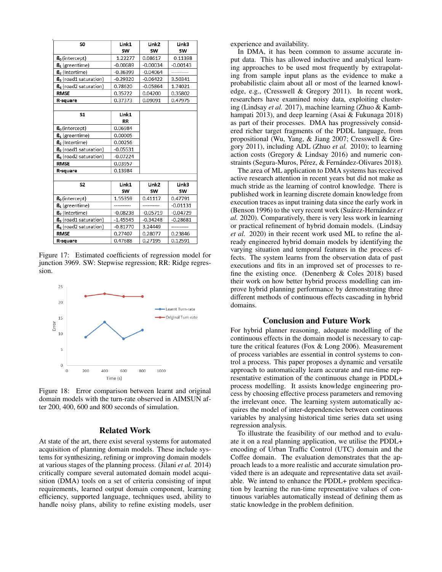| SO.                               | Link1      | Link <sub>2</sub> | Link3      |
|-----------------------------------|------------|-------------------|------------|
|                                   | SW         | SW                | SW         |
| $\mathbf{B}_0$ (intercept)        | 1.22277    | 0.08617           | 0.11398    |
| $\mathbf{B}_1$ (greentime)        | $-0.00689$ | $-0.00034$        | $-0.00143$ |
| $\mathbf{B}_2$ (Intertime)        | $-0.36399$ | $-0.04064$        |            |
| B <sub>3</sub> (road1 saturation) | $-0.29320$ | $-0.06422$        | 3.50341    |
| B <sub>4</sub> (road2 saturation) | 0.78620    | $-0.05864$        | 1.74021    |
| <b>RMSE</b>                       | 0.35722    | 0.04200           | 0.35802    |
| R-square                          | 0.37373    | 0.09091           | 0.47975    |
|                                   |            |                   |            |
| <b>S1</b>                         | Link1      |                   |            |
|                                   | <b>RR</b>  |                   |            |
| $\mathbf{B}_0$ (intercept)        | 0.06984    |                   |            |
| $\mathbf{B}_1$ (greentime)        | 0.00005    |                   |            |
| $\mathbf{B}_2$ (Intertime)        | 0.00256    |                   |            |
| $\mathsf{B}_3$ (road1 saturation) | $-0.05531$ |                   |            |
| B <sub>4</sub> (road2 saturation) | $-0.07224$ |                   |            |
| <b>RMSE</b>                       | 0.03957    |                   |            |
| R-square                          | 0.13984    |                   |            |
|                                   |            |                   |            |
| S <sub>2</sub>                    | Link1      | Link <sub>2</sub> | Link3      |
|                                   | SW         | SW                | <b>SW</b>  |
| $B0$ (intercept)                  | 1.55359    | 0.41117           | 0.47791    |
| $\mathbf{B}_1$ (greentime)        |            |                   | $-0.01131$ |
| B <sub>2</sub> (Intertime)        | $-0.08238$ | $-0.05719$        | $-0.04729$ |
| B <sub>3</sub> (road1 saturation) | $-1.45545$ | $-0.34248$        | $-0.28681$ |
| B <sub>4</sub> (road2 saturation) | $-0.81770$ | 3.24449           |            |
| <b>RMSE</b>                       | 0.27407    | 0.28077           | 0.23846    |
| R-square                          | 0.47688    | 0.27195           | 0.12591    |

Figure 17: Estimated coefficients of regression model for junction 3969. SW: Stepwise regression; RR: Ridge regression.



Figure 18: Error comparison between learnt and original domain models with the turn-rate observed in AIMSUN after 200, 400, 600 and 800 seconds of simulation.

# Related Work

At state of the art, there exist several systems for automated acquisition of planning domain models. These include systems for synthesizing, refining or improving domain models at various stages of the planning process. (Jilani *et al.* 2014) critically compare several automated domain model acquisition (DMA) tools on a set of criteria consisting of input requirements, learned output domain component, learning efficiency, supported language, techniques used, ability to handle noisy plans, ability to refine existing models, user

experience and availability.

In DMA, it has been common to assume accurate input data. This has allowed inductive and analytical learning approaches to be used most frequently by extrapolating from sample input plans as the evidence to make a probabilistic claim about all or most of the learned knowledge, e.g., (Cresswell & Gregory 2011). In recent work, researchers have examined noisy data, exploiting clustering (Lindsay *et al.* 2017), machine learning (Zhuo & Kambhampati 2013), and deep learning (Asai & Fukunaga 2018) as part of their processes. DMA has progressively considered richer target fragments of the PDDL language, from propositional (Wu, Yang, & Jiang 2007; Cresswell & Gregory 2011), including ADL (Zhuo *et al.* 2010); to learning action costs (Gregory & Lindsay 2016) and numeric constraints (Segura-Muros, Pérez, & Fernández-Olivares 2018).

The area of ML application to DMA systems has received active research attention in recent years but did not make as much stride as the learning of control knowledge. There is published work in learning discrete domain knowledge from execution traces as input training data since the early work in (Benson 1996) to the very recent work (Suárez-Hernández et *al.* 2020). Comparatively, there is very less work in learning or practical refinement of hybrid domain models. (Lindsay *et al.* 2020) in their recent work used ML to refine the already engineered hybrid domain models by identifying the varying situation and temporal features in the process effects. The system learns from the observation data of past executions and fits in an improved set of processes to refine the existing once. (Denenberg & Coles 2018) based their work on how better hybrid process modelling can improve hybrid planning performance by demonstrating three different methods of continuous effects cascading in hybrid domains.

### Conclusion and Future Work

For hybrid planner reasoning, adequate modelling of the continuous effects in the domain model is necessary to capture the critical features (Fox & Long 2006). Measurement of process variables are essential in control systems to control a process. This paper proposes a dynamic and versatile approach to automatically learn accurate and run-time representative estimation of the continuous change in PDDL+ process modelling. It assists knowledge engineering process by choosing effective process parameters and removing the irrelevant once. The learning system automatically acquires the model of inter-dependencies between continuous variables by analysing historical time series data set using regression analysis.

To illustrate the feasibility of our method and to evaluate it on a real planning application, we utilise the PDDL+ encoding of Urban Traffic Control (UTC) domain and the Coffee domain. The evaluation demonstrates that the approach leads to a more realistic and accurate simulation provided there is an adequate and representative data set available. We intend to enhance the PDDL+ problem specification by learning the run-time representative values of continuous variables automatically instead of defining them as static knowledge in the problem definition.